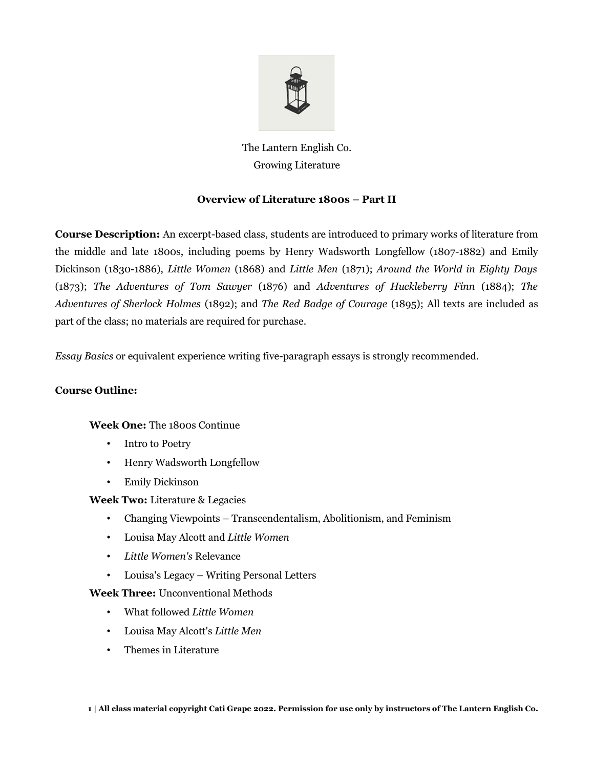

## The Lantern English Co. Growing Literature

## **Overview of Literature 1800s – Part II**

**Course Description:** An excerpt-based class, students are introduced to primary works of literature from the middle and late 1800s, including poems by Henry Wadsworth Longfellow (1807-1882) and Emily Dickinson (1830-1886), *Little Women* (1868) and *Little Men* (1871); *Around the World in Eighty Days* (1873); *The Adventures of Tom Sawyer* (1876) and *Adventures of Huckleberry Finn* (1884); *The Adventures of Sherlock Holmes* (1892); and *The Red Badge of Courage* (1895); All texts are included as part of the class; no materials are required for purchase.

*Essay Basics* or equivalent experience writing five-paragraph essays is strongly recommended.

## **Course Outline:**

**Week One:** The 1800s Continue

- Intro to Poetry
- Henry Wadsworth Longfellow
- Emily Dickinson

**Week Two:** Literature & Legacies

- Changing Viewpoints Transcendentalism, Abolitionism, and Feminism
- Louisa May Alcott and *Little Women*
- *Little Women's* Relevance
- Louisa's Legacy Writing Personal Letters

**Week Three:** Unconventional Methods

- What followed *Little Women*
- Louisa May Alcott's *Little Men*
- Themes in Literature